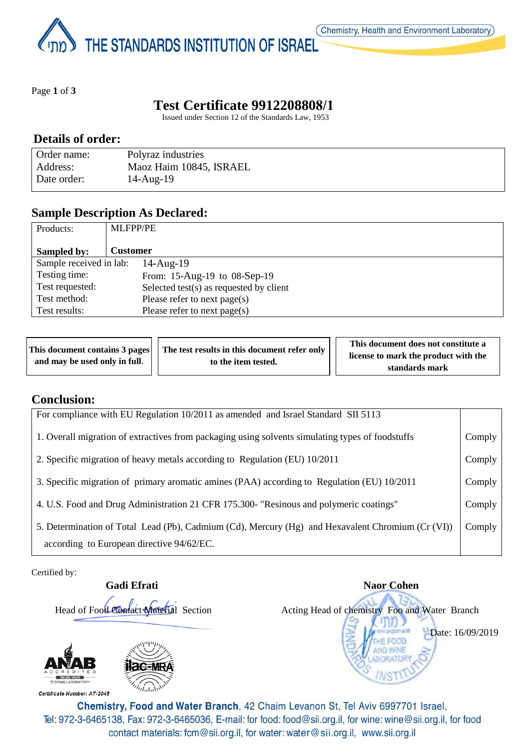THE STANDARDS INSTITUTION OF ISRAEL

Page **1** of **3**

# **Test Certificate 9912208808/1**

Issued under Section 12 of the Standards Law, 1953

### **Details of order:**

| Order name: | Polyraz industries      |
|-------------|-------------------------|
| Address:    | Maoz Haim 10845, ISRAEL |
| Date order: | $14$ -Aug- $19$         |

## **Sample Description As Declared:**

| Products:               | <b>MLFPP/PE</b>                         |
|-------------------------|-----------------------------------------|
| Sampled by:             | <b>Customer</b>                         |
| Sample received in lab: | $14$ -Aug- $19$                         |
| Testing time:           | From: 15-Aug-19 to 08-Sep-19            |
| Test requested:         | Selected test(s) as requested by client |
| Test method:            | Please refer to next page(s)            |
| Test results:           | Please refer to next page(s)            |

| This document contains 3 pages | The test results in this document refer only | This document does not constitute a  |
|--------------------------------|----------------------------------------------|--------------------------------------|
| and may be used only in full.  | to the item tested.                          | license to mark the product with the |
|                                |                                              | standards mark                       |

#### **Conclusion:**

| For compliance with EU Regulation 10/2011 as amended and Israel Standard SII 5113                                                              |        |
|------------------------------------------------------------------------------------------------------------------------------------------------|--------|
| 1. Overall migration of extractives from packaging using solvents simulating types of foodstuffs                                               | Comply |
| 2. Specific migration of heavy metals according to Regulation (EU) 10/2011                                                                     | Comply |
| 3. Specific migration of primary aromatic amines (PAA) according to Regulation (EU) 10/2011                                                    | Comply |
| 4. U.S. Food and Drug Administration 21 CFR 175.300- "Resinous and polymeric coatings"                                                         | Comply |
| 5. Determination of Total Lead (Pb), Cadmium (Cd), Mercury (Hg) and Hexavalent Chromium (Cr (VI))<br>according to European directive 94/62/EC. | Comply |

Certified by:



**Gadi Efrati** Naor Cohen Head of Food Contact Material Section Acting Head of chemistry Foo and Water Branch Date: 16/09/2019

Certificate Number: AT-2045

Chemistry, Food and Water Branch, 42 Chaim Levanon St, Tel Aviv 6997701 Israel, Tel: 972-3-6465138, Fax: 972-3-6465036, E-mail: for food: food@sii.org.il, for wine: wine@sii.org.il, for food contact materials: fcm@sii.org.il, for water: water@sii.org.il, www.sii.org.il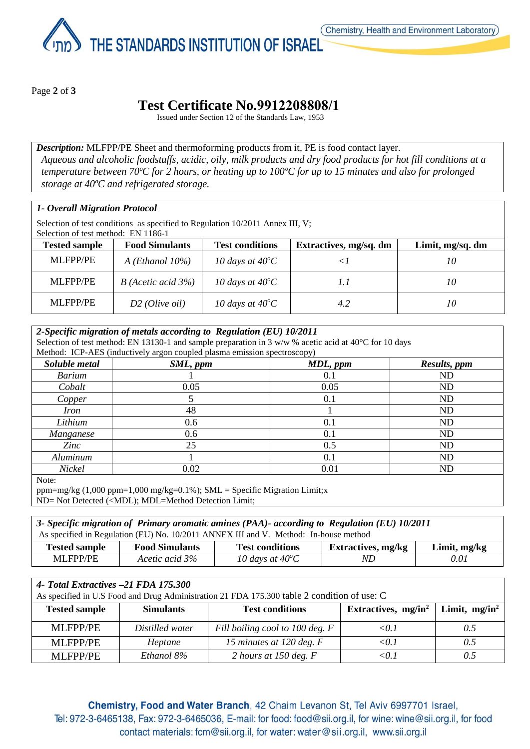THE STANDARDS INSTITUTION OF ISRAEL

Page **2** of **3**

# **Test Certificate No.9912208808/1**

Issued under Section 12 of the Standards Law, 1953

*Description:* MLFPP/PE Sheet and thermoforming products from it, PE is food contact layer. *Aqueous and alcoholic foodstuffs, acidic, oily, milk products and dry food products for hot fill conditions at a temperature between 70ºC for 2 hours, or heating up to 100ºC for up to 15 minutes and also for prolonged storage at 40ºC and refrigerated storage.*

#### *1- Overall Migration Protocol*

Selection of test conditions as specified to Regulation 10/2011 Annex III, V; Selection of test method: EN 1186-1

| <b>Tested sample</b> | <b>Food Simulants</b>     | <b>Test conditions</b>    | Extractives, mg/sq. dm | Limit, mg/sq. dm |  |
|----------------------|---------------------------|---------------------------|------------------------|------------------|--|
| <b>MLFPP/PE</b>      | $A$ ( <i>Ethanol</i> 10%) | 10 days at $40^{\circ}$ C |                        | 10               |  |
| <b>MLFPP/PE</b>      | $B$ (Acetic acid 3%)      | 10 days at $40^{\circ}$ C |                        | 10               |  |
| <b>MLFPP/PE</b>      | $D2$ (Olive oil)          | 10 days at $40^{\circ}$ C | 4.2                    | 10               |  |

| 2-Specific migration of metals according to Regulation (EU) 10/2011<br>Selection of test method: EN 13130-1 and sample preparation in 3 w/w % acetic acid at 40°C for 10 days |                                                                          |          |              |  |
|-------------------------------------------------------------------------------------------------------------------------------------------------------------------------------|--------------------------------------------------------------------------|----------|--------------|--|
|                                                                                                                                                                               | Method: ICP-AES (inductively argon coupled plasma emission spectroscopy) |          |              |  |
| Soluble metal                                                                                                                                                                 | SML, ppm                                                                 | MDL, ppm | Results, ppm |  |
| <b>Barium</b>                                                                                                                                                                 |                                                                          | 0.1      | ND           |  |
| Cobalt                                                                                                                                                                        | 0.05                                                                     | 0.05     | ND           |  |
| Copper                                                                                                                                                                        |                                                                          | 0.1      | ND           |  |
| <i>Iron</i>                                                                                                                                                                   | 48                                                                       |          | ND           |  |
| Lithium                                                                                                                                                                       | 0.6                                                                      | 0.1      | <b>ND</b>    |  |
| Manganese                                                                                                                                                                     | 0.6                                                                      | 0.1      | ND           |  |
| Zinc                                                                                                                                                                          | 25                                                                       | 0.5      | ND           |  |
| Aluminum                                                                                                                                                                      |                                                                          | 0.1      | ND           |  |
| Nickel                                                                                                                                                                        | 0.02                                                                     | 0.01     | ND           |  |

Note:

ppm=mg/kg (1,000 ppm=1,000 mg/kg=0.1%); SML = Specific Migration Limit;x ND= Not Detected (<MDL); MDL=Method Detection Limit;

*3- Specific migration of Primary aromatic amines (PAA)- according to Regulation (EU) 10/2011* As specified in Regulation (EU) No. 10/2011 ANNEX III and V. Method: In-house method

| $\mathbf{r}$<br>fested sample | <b>Food Simulants</b> | <b>Test conditions</b>    | Extractives, mg/kg | Limit, mg/kg |
|-------------------------------|-----------------------|---------------------------|--------------------|--------------|
| <b>MLFPP/PE</b>               | Acetic acid 3%        | 10 days at $40^{\circ}$ C | NĽ                 | 0.01         |

|  |  | 4- Total Extractives -21 FDA 175.300 |  |  |  |
|--|--|--------------------------------------|--|--|--|
|--|--|--------------------------------------|--|--|--|

| As specified in U.S Food and Drug Administration 21 FDA 175.300 table 2 condition of use: C |                  |                                 |                        |                  |  |
|---------------------------------------------------------------------------------------------|------------------|---------------------------------|------------------------|------------------|--|
| <b>Tested sample</b>                                                                        | <b>Simulants</b> | <b>Test conditions</b>          | Extractives, $mg/in^2$ | Limit, $mg/in^2$ |  |
| <b>MLFPP/PE</b>                                                                             | Distilled water  | Fill boiling cool to 100 deg. F | < 0.1                  | 0.5              |  |
| <b>MLFPP/PE</b>                                                                             | Heptane          | 15 minutes at 120 deg. $F$      | < 0.1                  | 0.5              |  |
| <b>MLFPP/PE</b>                                                                             | Ethanol 8%       | 2 hours at 150 deg. $F$         | <0.1                   |                  |  |

Chemistry, Food and Water Branch, 42 Chaim Levanon St, Tel Aviv 6997701 Israel, Tel: 972-3-6465138, Fax: 972-3-6465036, E-mail: for food: food@sii.org.il, for wine: wine@sii.org.il, for food contact materials: fcm@sii.org.il, for water: water@sii.org.il, www.sii.org.il